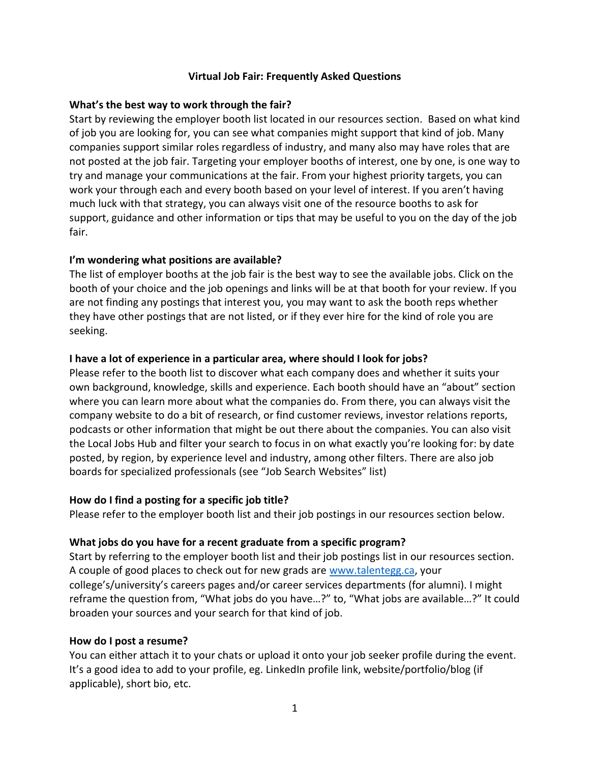## **Virtual Job Fair: Frequently Asked Questions**

#### **What's the best way to work through the fair?**

Start by reviewing the employer booth list located in our resources section. Based on what kind of job you are looking for, you can see what companies might support that kind of job. Many companies support similar roles regardless of industry, and many also may have roles that are not posted at the job fair. Targeting your employer booths of interest, one by one, is one way to try and manage your communications at the fair. From your highest priority targets, you can work your through each and every booth based on your level of interest. If you aren't having much luck with that strategy, you can always visit one of the resource booths to ask for support, guidance and other information or tips that may be useful to you on the day of the job fair.

## **I'm wondering what positions are available?**

The list of employer booths at the job fair is the best way to see the available jobs. Click on the booth of your choice and the job openings and links will be at that booth for your review. If you are not finding any postings that interest you, you may want to ask the booth reps whether they have other postings that are not listed, or if they ever hire for the kind of role you are seeking.

#### **I have a lot of experience in a particular area, where should I look for jobs?**

Please refer to the booth list to discover what each company does and whether it suits your own background, knowledge, skills and experience. Each booth should have an "about" section where you can learn more about what the companies do. From there, you can always visit the company website to do a bit of research, or find customer reviews, investor relations reports, podcasts or other information that might be out there about the companies. You can also visit the Local Jobs Hub and filter your search to focus in on what exactly you're looking for: by date posted, by region, by experience level and industry, among other filters. There are also job boards for specialized professionals (see "Job Search Websites" list)

#### **How do I find a posting for a specific job title?**

Please refer to the employer booth list and their job postings in our resources section below.

#### **What jobs do you have for a recent graduate from a specific program?**

Start by referring to the employer booth list and their job postings list in our resources section. A couple of good places to check out for new grads are [www.talentegg.ca,](http://www.talentegg.ca/) your college's/university's careers pages and/or career services departments (for alumni). I might reframe the question from, "What jobs do you have…?" to, "What jobs are available…?" It could broaden your sources and your search for that kind of job.

#### **How do I post a resume?**

You can either attach it to your chats or upload it onto your job seeker profile during the event. It's a good idea to add to your profile, eg. LinkedIn profile link, website/portfolio/blog (if applicable), short bio, etc.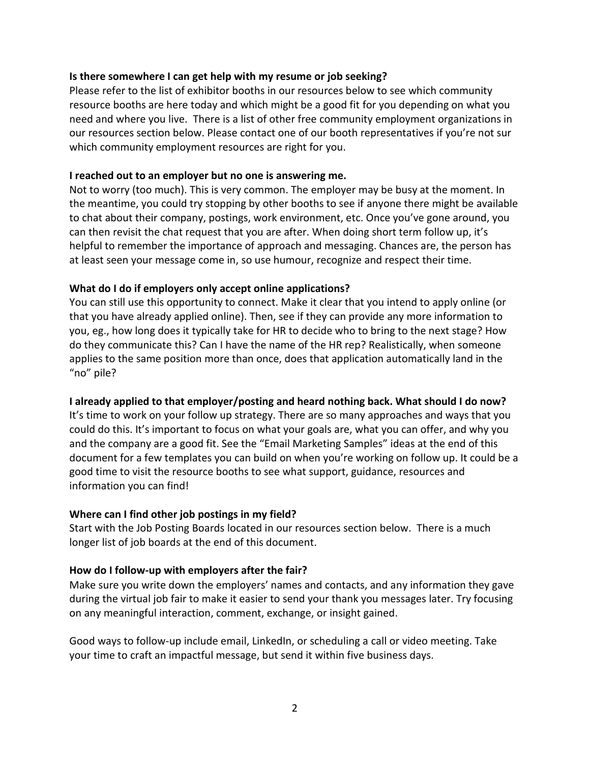#### **Is there somewhere I can get help with my resume or job seeking?**

Please refer to the list of exhibitor booths in our resources below to see which community resource booths are here today and which might be a good fit for you depending on what you need and where you live. There is a list of other free community employment organizations in our resources section below. Please contact one of our booth representatives if you're not sur which community employment resources are right for you.

#### **I reached out to an employer but no one is answering me.**

Not to worry (too much). This is very common. The employer may be busy at the moment. In the meantime, you could try stopping by other booths to see if anyone there might be available to chat about their company, postings, work environment, etc. Once you've gone around, you can then revisit the chat request that you are after. When doing short term follow up, it's helpful to remember the importance of approach and messaging. Chances are, the person has at least seen your message come in, so use humour, recognize and respect their time.

## **What do I do if employers only accept online applications?**

You can still use this opportunity to connect. Make it clear that you intend to apply online (or that you have already applied online). Then, see if they can provide any more information to you, eg., how long does it typically take for HR to decide who to bring to the next stage? How do they communicate this? Can I have the name of the HR rep? Realistically, when someone applies to the same position more than once, does that application automatically land in the "no" pile?

## **I already applied to that employer/posting and heard nothing back. What should I do now?**

It's time to work on your follow up strategy. There are so many approaches and ways that you could do this. It's important to focus on what your goals are, what you can offer, and why you and the company are a good fit. See the "Email Marketing Samples" ideas at the end of this document for a few templates you can build on when you're working on follow up. It could be a good time to visit the resource booths to see what support, guidance, resources and information you can find!

## **Where can I find other job postings in my field?**

Start with the Job Posting Boards located in our resources section below. There is a much longer list of job boards at the end of this document.

## **How do I follow-up with employers after the fair?**

Make sure you write down the employers' names and contacts, and any information they gave during the virtual job fair to make it easier to send your thank you messages later. Try focusing on any meaningful interaction, comment, exchange, or insight gained.

Good ways to follow-up include email, LinkedIn, or scheduling a call or video meeting. Take your time to craft an impactful message, but send it within five business days.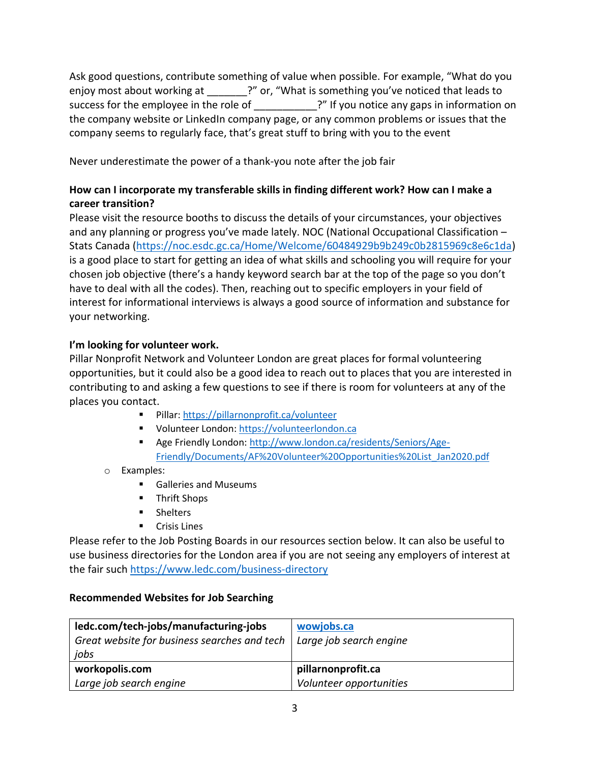Ask good questions, contribute something of value when possible. For example, "What do you enjoy most about working at \_\_\_\_\_\_\_?" or, "What is something you've noticed that leads to success for the employee in the role of **Example 1** 2<sup>n</sup> If you notice any gaps in information on the company website or LinkedIn company page, or any common problems or issues that the company seems to regularly face, that's great stuff to bring with you to the event

Never underestimate the power of a thank-you note after the job fair

## **How can I incorporate my transferable skills in finding different work? How can I make a career transition?**

Please visit the resource booths to discuss the details of your circumstances, your objectives and any planning or progress you've made lately. NOC (National Occupational Classification – Stats Canada [\(https://noc.esdc.gc.ca/Home/Welcome/60484929b9b249c0b2815969c8e6c1da\)](https://noc.esdc.gc.ca/Home/Welcome/60484929b9b249c0b2815969c8e6c1da) is a good place to start for getting an idea of what skills and schooling you will require for your chosen job objective (there's a handy keyword search bar at the top of the page so you don't have to deal with all the codes). Then, reaching out to specific employers in your field of interest for informational interviews is always a good source of information and substance for your networking.

# **I'm looking for volunteer work.**

Pillar Nonprofit Network and Volunteer London are great places for formal volunteering opportunities, but it could also be a good idea to reach out to places that you are interested in contributing to and asking a few questions to see if there is room for volunteers at any of the places you contact.

- Pillar:<https://pillarnonprofit.ca/volunteer>
- Volunteer London: [https://volunteerlondon.ca](https://volunteerlondon.ca/)
- Age Friendly London: [http://www.london.ca/residents/Seniors/Age-](http://www.london.ca/residents/Seniors/Age-Friendly/Documents/AF%20Volunteer%20Opportunities%20List_Jan2020.pdf)[Friendly/Documents/AF%20Volunteer%20Opportunities%20List\\_Jan2020.pdf](http://www.london.ca/residents/Seniors/Age-Friendly/Documents/AF%20Volunteer%20Opportunities%20List_Jan2020.pdf)
- o Examples:
	- Galleries and Museums
	- **Thrift Shops**
	- **Shelters**
	- **Crisis Lines**

Please refer to the Job Posting Boards in our resources section below. It can also be useful to use business directories for the London area if you are not seeing any employers of interest at the fair such<https://www.ledc.com/business-directory>

## **Recommended Websites for Job Searching**

| ledc.com/tech-jobs/manufacturing-jobs<br>Great website for business searches and tech $\vert$ Large job search engine<br>jobs | wowjobs.ca              |
|-------------------------------------------------------------------------------------------------------------------------------|-------------------------|
| workopolis.com                                                                                                                | pillarnonprofit.ca      |
| Large job search engine                                                                                                       | Volunteer opportunities |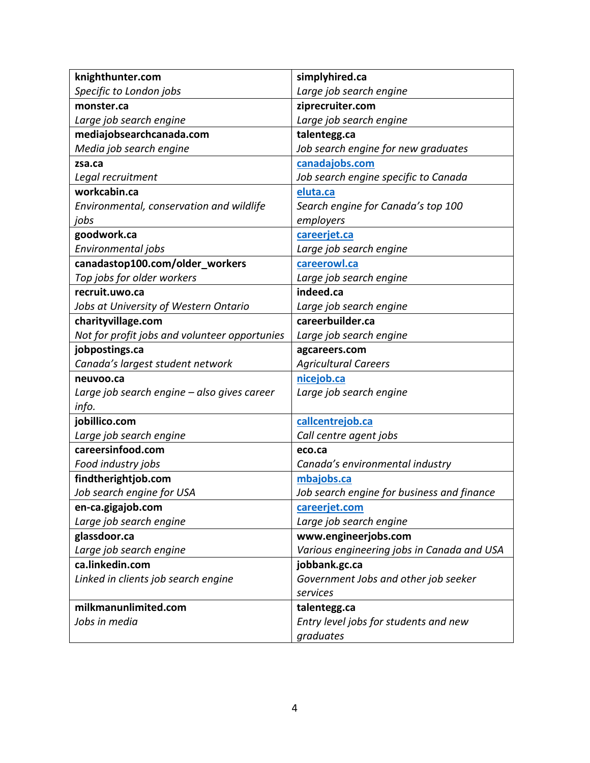| knighthunter.com                              | simplyhired.ca                             |
|-----------------------------------------------|--------------------------------------------|
| Specific to London jobs                       | Large job search engine                    |
| monster.ca                                    | ziprecruiter.com                           |
| Large job search engine                       | Large job search engine                    |
| mediajobsearchcanada.com                      | talentegg.ca                               |
| Media job search engine                       | Job search engine for new graduates        |
| zsa.ca                                        | canadajobs.com                             |
| Legal recruitment                             | Job search engine specific to Canada       |
| workcabin.ca                                  | eluta.ca                                   |
| Environmental, conservation and wildlife      | Search engine for Canada's top 100         |
| jobs                                          | employers                                  |
| goodwork.ca                                   | careerjet.ca                               |
| Environmental jobs                            | Large job search engine                    |
| canadastop100.com/older_workers               | careerowl.ca                               |
| Top jobs for older workers                    | Large job search engine                    |
| recruit.uwo.ca                                | indeed.ca                                  |
| Jobs at University of Western Ontario         | Large job search engine                    |
| charityvillage.com                            | careerbuilder.ca                           |
| Not for profit jobs and volunteer opportunies | Large job search engine                    |
| jobpostings.ca                                | agcareers.com                              |
| Canada's largest student network              | <b>Agricultural Careers</b>                |
| neuvoo.ca                                     | nicejob.ca                                 |
| Large job search engine - also gives career   | Large job search engine                    |
| info.                                         |                                            |
| jobillico.com                                 | callcentrejob.ca                           |
| Large job search engine                       | Call centre agent jobs                     |
| careersinfood.com                             | eco.ca                                     |
| Food industry jobs                            | Canada's environmental industry            |
| findtherightjob.com                           | mbajobs.ca                                 |
| Job search engine for USA                     | Job search engine for business and finance |
| en-ca.gigajob.com                             | careerjet.com                              |
| Large job search engine                       | Large job search engine                    |
| glassdoor.ca                                  | www.engineerjobs.com                       |
| Large job search engine                       | Various engineering jobs in Canada and USA |
| ca.linkedin.com                               | jobbank.gc.ca                              |
| Linked in clients job search engine           | Government Jobs and other job seeker       |
|                                               | services                                   |
| milkmanunlimited.com                          | talentegg.ca                               |
| Jobs in media                                 | Entry level jobs for students and new      |
|                                               | graduates                                  |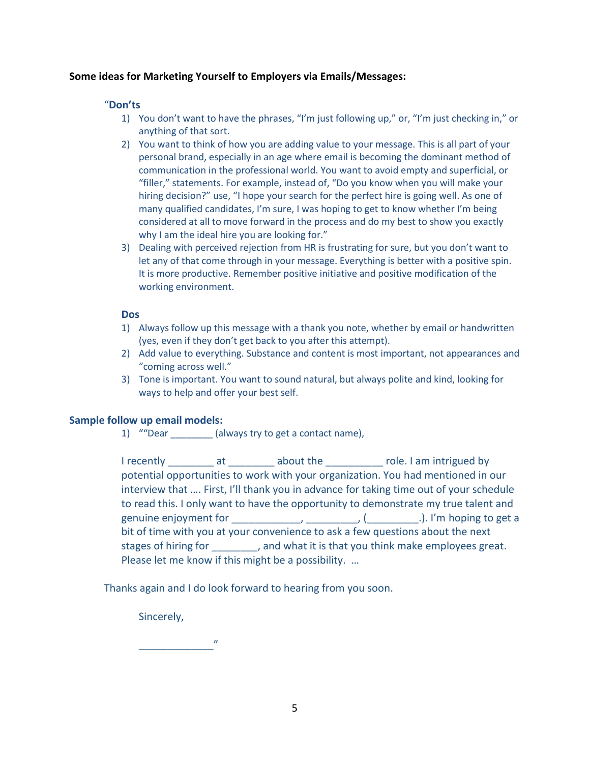#### **Some ideas for Marketing Yourself to Employers via Emails/Messages:**

#### "**Don'ts**

- 1) You don't want to have the phrases, "I'm just following up," or, "I'm just checking in," or anything of that sort.
- 2) You want to think of how you are adding value to your message. This is all part of your personal brand, especially in an age where email is becoming the dominant method of communication in the professional world. You want to avoid empty and superficial, or "filler," statements. For example, instead of, "Do you know when you will make your hiring decision?" use, "I hope your search for the perfect hire is going well. As one of many qualified candidates, I'm sure, I was hoping to get to know whether I'm being considered at all to move forward in the process and do my best to show you exactly why I am the ideal hire you are looking for."
- 3) Dealing with perceived rejection from HR is frustrating for sure, but you don't want to let any of that come through in your message. Everything is better with a positive spin. It is more productive. Remember positive initiative and positive modification of the working environment.

#### **Dos**

- 1) Always follow up this message with a thank you note, whether by email or handwritten (yes, even if they don't get back to you after this attempt).
- 2) Add value to everything. Substance and content is most important, not appearances and "coming across well."
- 3) Tone is important. You want to sound natural, but always polite and kind, looking for ways to help and offer your best self.

#### **Sample follow up email models:**

1) ""Dear \_\_\_\_\_\_\_\_ (always try to get a contact name),

| I recently at                                                                       |  | about the controller to the state of the state of the state of the state of the state of the state of the stat |  |  |  |
|-------------------------------------------------------------------------------------|--|----------------------------------------------------------------------------------------------------------------|--|--|--|
|                                                                                     |  | potential opportunities to work with your organization. You had mentioned in our                               |  |  |  |
|                                                                                     |  | interview that  First, I'll thank you in advance for taking time out of your schedule                          |  |  |  |
| to read this. I only want to have the opportunity to demonstrate my true talent and |  |                                                                                                                |  |  |  |
|                                                                                     |  |                                                                                                                |  |  |  |
| bit of time with you at your convenience to ask a few questions about the next      |  |                                                                                                                |  |  |  |
|                                                                                     |  | stages of hiring for , and what it is that you think make employees great.                                     |  |  |  |
|                                                                                     |  | Please let me know if this might be a possibility.                                                             |  |  |  |

Thanks again and I do look forward to hearing from you soon.

Sincerely,

 $\overline{u}$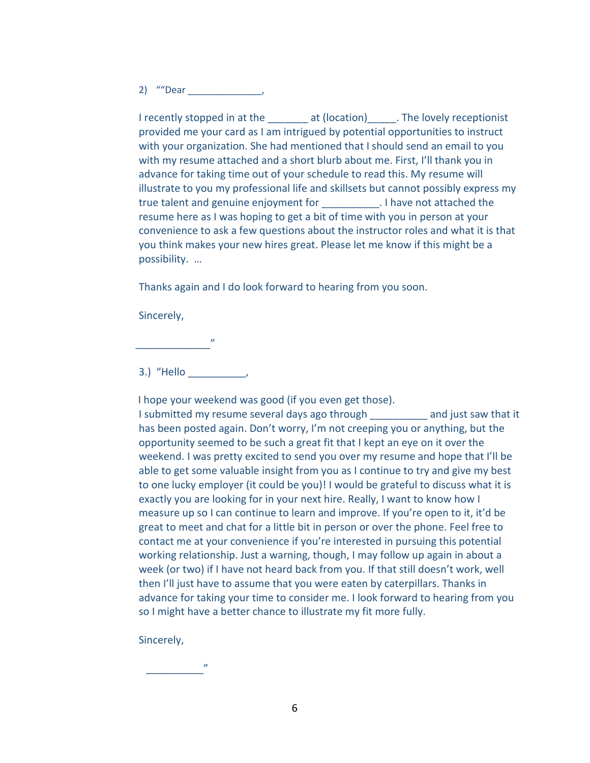2) ""Dear \_\_\_\_\_\_\_\_\_\_\_\_\_\_,

I recently stopped in at the at (location) The lovely receptionist provided me your card as I am intrigued by potential opportunities to instruct with your organization. She had mentioned that I should send an email to you with my resume attached and a short blurb about me. First, I'll thank you in advance for taking time out of your schedule to read this. My resume will illustrate to you my professional life and skillsets but cannot possibly express my true talent and genuine enjoyment for \_\_\_\_\_\_\_\_\_\_. I have not attached the resume here as I was hoping to get a bit of time with you in person at your convenience to ask a few questions about the instructor roles and what it is that you think makes your new hires great. Please let me know if this might be a possibility. …

Thanks again and I do look forward to hearing from you soon.

Sincerely,

3.) "Hello \_\_\_\_\_\_\_\_\_\_,

 $\overline{u}$ 

 I hope your weekend was good (if you even get those). I submitted my resume several days ago through \_\_\_\_\_\_\_\_\_\_ and just saw that it has been posted again. Don't worry, I'm not creeping you or anything, but the opportunity seemed to be such a great fit that I kept an eye on it over the weekend. I was pretty excited to send you over my resume and hope that I'll be able to get some valuable insight from you as I continue to try and give my best to one lucky employer (it could be you)! I would be grateful to discuss what it is exactly you are looking for in your next hire. Really, I want to know how I measure up so I can continue to learn and improve. If you're open to it, it'd be great to meet and chat for a little bit in person or over the phone. Feel free to contact me at your convenience if you're interested in pursuing this potential working relationship. Just a warning, though, I may follow up again in about a week (or two) if I have not heard back from you. If that still doesn't work, well then I'll just have to assume that you were eaten by caterpillars. Thanks in advance for taking your time to consider me. I look forward to hearing from you so I might have a better chance to illustrate my fit more fully.

Sincerely,

 $\overline{\phantom{a}}$